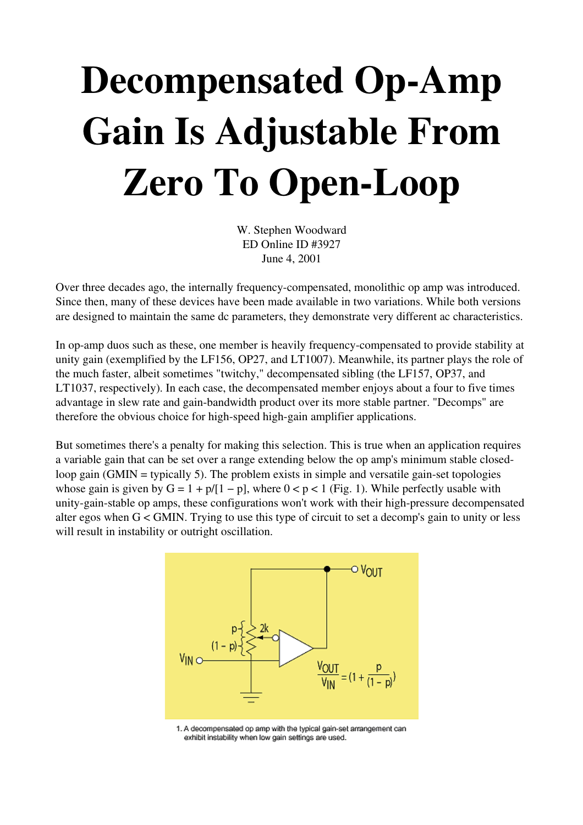## Decompensated Op-Amp Gain Is Adjustable From Zero To Open-Loop

W. Stephen Woodward ED Online ID #3927 June 4, 2001

Over three decades ago, the internally frequency-compensated, monolithic op amp was introduced. Since then, many of these devices have been made available in two variations. While both versions are designed to maintain the same dc parameters, they demonstrate very different ac characteristics.

In op-amp duos such as these, one member is heavily frequency-compensated to provide stability at unity gain (exemplified by the LF156, OP27, and LT1007). Meanwhile, its partner plays the role of the much faster, albeit sometimes "twitchy," decompensated sibling (the LF157, OP37, and LT1037, respectively). In each case, the decompensated member enjoys about a four to five times advantage in slew rate and gain-bandwidth product over its more stable partner. "Decomps" are therefore the obvious choice for high-speed high-gain amplifier applications.

But sometimes there's a penalty for making this selection. This is true when an application requires a variable gain that can be set over a range extending below the op amp's minimum stable closedloop gain (GMIN = typically 5). The problem exists in simple and versatile gain-set topologies whose gain is given by  $G = 1 + p/[1 - p]$ , where  $0 < p < 1$  (Fig. 1). While perfectly usable with unity-gain-stable op amps, these configurations won't work with their high-pressure decompensated alter egos when G < GMIN. Trying to use this type of circuit to set a decomp's gain to unity or less will result in instability or outright oscillation.



1. A decompensated op amp with the typical gain-set arrangement can exhibit instability when low gain settings are used.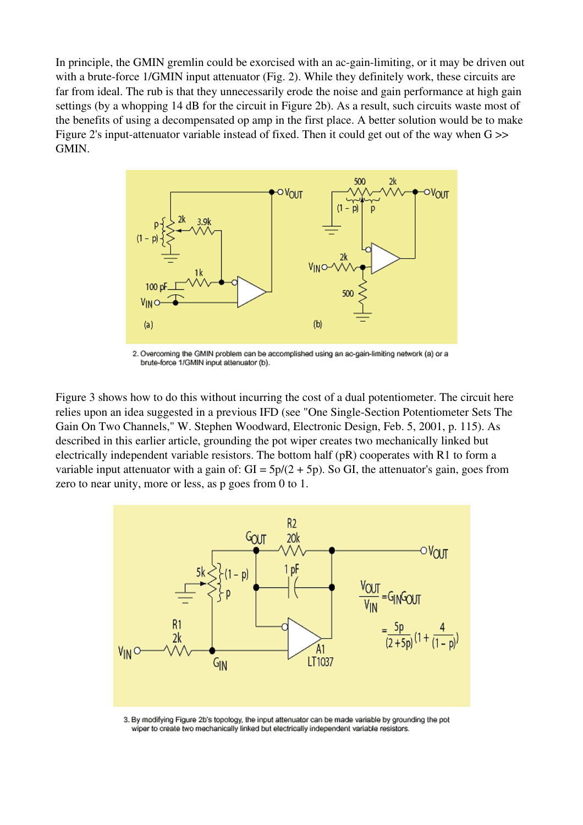In principle, the GMIN gremlin could be exorcised with an ac-gain-limiting, or it may be driven out with a brute-force  $1/GMIN$  input attenuator (Fig. 2). While they definitely work, these circuits are far from ideal. The rub is that they unnecessarily erode the noise and gain performance at high gain settings (by a whopping 14 dB for the circuit in Figure 2b). As a result, such circuits waste most of the benefits of using a decompensated op amp in the first place. A better solution would be to make Figure 2's input-attenuator variable instead of fixed. Then it could get out of the way when  $G \gg$ GMIN.



2. Overcoming the GMIN problem can be accomplished using an ac-gain-limiting network (a) or a brute-force 1/GMIN input attenuator (b).

Figure 3 shows how to do this without incurring the cost of a dual potentiometer. The circuit here relies upon an idea suggested in a previous IFD (see "One Single-Section Potentiometer Sets The Gain On Two Channels," W. Stephen Woodward, Electronic Design, Feb. 5, 2001, p. 115). As described in this earlier article, grounding the pot wiper creates two mechanically linked but electrically independent variable resistors. The bottom half (pR) cooperates with R1 to form a variable input attenuator with a gain of:  $GI = 5p/(2 + 5p)$ . So GI, the attenuator's gain, goes from zero to near unity, more or less, as p goes from 0 to 1.



3. By modifying Figure 2b's topology, the input attenuator can be made variable by grounding the pot wiper to create two mechanically linked but electrically independent variable resistors.